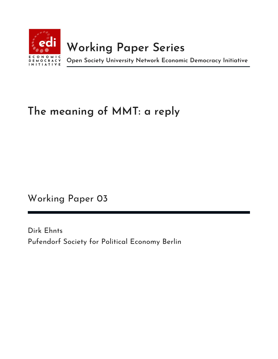

# **Working Paper Series**

**Open Society University Network Economic Democracy Initiative**

## **The meaning of MMT: a reply**

Working Paper 03

Dirk Ehnts Pufendorf Society for Political Economy Berlin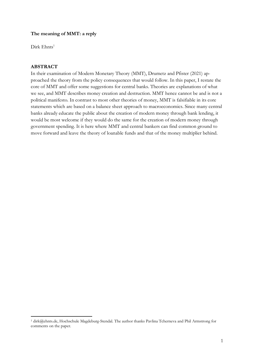#### **The meaning of MMT: a reply**

 $Dirk$  Ehnts<sup>1</sup>

#### **ABSTRACT**

In their examination of Modern Monetary Theory (MMT), Drumetz and Pfister (2021) approached the theory from the policy consequences that would follow. In this paper, I restate the core of MMT and offer some suggestions for central banks. Theories are explanations of what we see, and MMT describes money creation and destruction. MMT hence cannot be and is not a political manifesto. In contrast to most other theories of money, MMT is falsifiable in its core statements which are based on a balance sheet approach to macroeconomics. Since many central banks already educate the public about the creation of modern money through bank lending, it would be most welcome if they would do the same for the creation of modern money through government spending. It is here where MMT and central bankers can find common ground to move forward and leave the theory of loanable funds and that of the money multiplier behind.

<sup>1</sup> dirk@ehnts.de, Hochschule Magdeburg-Stendal. The author thanks Pavlina Tcherneva and Phil Armstrong for comments on the paper.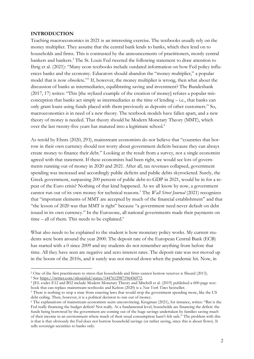#### **INTRODUCTION**

Teaching macroeconomics in 2021 is an interesting exercise. The textbooks usually rely on the money multiplier. They assume that the central bank lends to banks, which then lend on to households and firms. This is contrasted by the announcements of practitioners, mostly central bankers and bankers.2 The St. Louis Fed tweeted the following statement to draw attention to Ihrig et al. (2021): "Many econ textbooks include outdated information on how Fed policy influences banks and the economy. Educators should abandon the "money multiplier," a popular model that is now obsolete."3 If, however, the money multiplier is wrong, then what about the discussion of banks as intermediaries, equilibrating saving and investment? The Bundesbank (2017, 17) writes: "This [the stylized example of the creation of money] refutes a popular misconception that banks act simply as intermediaries at the time of lending – i.e., that banks can only grant loans using funds placed with them previously as deposits of other customers." So, macroeconomics is in need of a new theory. The textbook models have fallen apart, and a new theory of money is needed. That theory should be Modern Monetary Theory (MMT), which over the last twenty-five years has matured into a legitimate school.4

As retold by Ehnts (2020, 293), mainstream economists do not believe that "countries that borrow in their own currency should not worry about government deficits because they can always create money to finance their debt." Looking at the result from a survey, not a single economist agreed with that statement. If these economists had been right, we would see lots of governments running out of money in 2020 and 2021. After all, tax revenues collapsed, government spending was increased and accordingly public deficits and public debts skyrocketed. Surely, the Greek government, surpassing 200 percent of public debt-to-GDP in 2021, would be in for a repeat of the Euro crisis? Nothing of that kind happened. As we all know by now, a government cannot run out of its own money for technical reasons.5 The *Wall Street Journal* (2021) recognizes that "important elements of MMT are accepted by much of the financial establishment" and that "the lesson of 2020 was that MMT is right" because "a government need never default on debt issued in its own currency." In the Eurozone, all national governments made their payments on  $time - all of them. This needs to be explained.<sup>6</sup>$ 

What also needs to be explained to the student is how monetary policy works. My current students were born around the year 2000. The deposit rate of the European Central Bank (ECB) has started with a 0 since 2009 and my students do not remember anything from before that time. All they have seen are negative and zero interest rates. The deposit rate was not moved up in the boom of the 2010s, and it surely was not moved down when the pandemic hit. Now, in

<sup>3</sup> See https://twitter.com/stlouisfed/status/1447612987196456972.

<sup>&</sup>lt;sup>2</sup> One of the first practitioners to stress that households and firms cannot borrow reserves is Sheard (2013).

<sup>4</sup> JEL codes E12 and B52 include Modern Monetary Theory and Mitchell et al. (2019) published a 600-page textbook that can replace mainstream textbooks and Kelton (2020) is a *New York Times* bestseller.

<sup>&</sup>lt;sup>5</sup> There is nothing to stop a state from enacting laws that would stop the government spending more, like the US debt ceiling. Then, however, it is a political decision to run out of money.

<sup>6</sup> The explanations of mainstream economists seem unconvincing. Krugman (2021), for instance, writes: "But is the Fed really financing the budget deficit? Not really. At a fundamental level, households are financing the deficit: the funds being borrowed by the government are coming out of the huge savings undertaken by families saving much of their income in an environment where much of their usual consumption hasn't felt safe." The problem with this is that is that obviously the Fed does not borrow household savings (or rather saving, since this is about flows). It sells sovereign securities to banks only.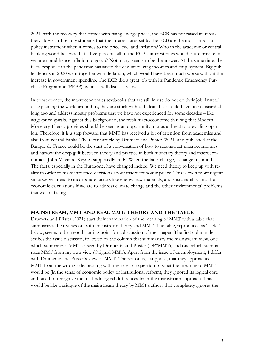2021, with the recovery that comes with rising energy prices, the ECB has not raised its rates either. How can I tell my students that the interest rates set by the ECB are the most important policy instrument when it comes to the price level and inflation? Who in the academic or central banking world believes that a five-percent-fall of the ECB's interest rates would cause private investment and hence inflation to go up? Not many, seems to be the answer. At the same time, the fiscal response to the pandemic has saved the day, stabilizing incomes and employment. Big public deficits in 2020 went together with deflation, which would have been much worse without the increase in government spending. The ECB did a great job with its Pandemic Emergency Purchase Programme (PEPP), which I will discuss below.

In consequence, the macroeconomics textbooks that are still in use do not do their job. Instead of explaining the world around us, they are stuck with old ideas that should have been discarded long ago and address mostly problems that we have not experienced for some decades – like wage-price spirals. Against this background, the fresh macroeconomic thinking that Modern Monetary Theory provides should be seen as an opportunity, not as a threat to prevailing opinion. Therefore, it is a step forward that MMT has received a lot of attention from academics and also from central banks. The recent article by Drumetz and Pfister (2021) and published at the Banque de France could be the start of a conversation of how to reconstruct macroeconomics and narrow the deep gulf between theory and practice in both monetary theory and macroeconomics. John Maynard Keynes supposedly said: "When the facts change, I change my mind." The facts, especially in the Eurozone, have changed indeed. We need theory to keep up with reality in order to make informed decisions about macroeconomic policy. This is even more urgent since we will need to incorporate factors like energy, raw materials, and sustainability into the economic calculations if we are to address climate change and the other environmental problems that we are facing.

#### **MAINSTREAM, MMT AND REAL MMT: THEORY AND THE TABLE**

Drumetz and Pfister (2021) start their examination of the meaning of MMT with a table that summarizes their views on both mainstream theory and MMT. The table, reproduced as Table 1 below, seems to be a good starting point for a discussion of their paper. The first column describes the issue discussed, followed by the column that summarizes the mainstream view, one which summarizes MMT as seen by Drumentz and Pfister (DP\*MMT), and one which summarizes MMT from my own view (Original MMT). Apart from the issue of unemployment, I differ with Drumentz and Pfister's view of MMT. The reason is, I suppose, that they approached MMT from the wrong side. Starting with the research question of what the meaning of MMT would be (in the sense of economic policy or institutional reform), they ignored its logical core and failed to recognize the methodological differences from the mainstream approach. This would be like a critique of the mainstream theory by MMT authors that completely ignores the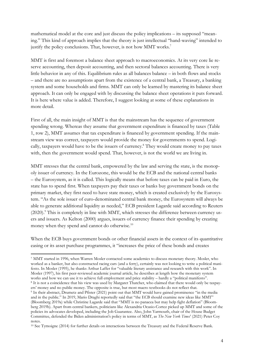mathematical model at the core and just discuss the policy implications – its supposed "meaning." This kind of approach implies that the theory is just intellectual "hand-waving" intended to justify the policy conclusions. That, however, is not how MMT works.<sup>7</sup>

MMT is first and foremost a balance sheet approach to macroeconomics. At its very core lie reserve accounting, then deposit accounting, and then sectoral balances accounting. There is very little behavior in any of this. Equilibrium rules as all balances balance – in both flows and stocks – and there are no assumptions apart from the existence of a central bank, a Treasury, a banking system and some households and firms. MMT can only be learned by mastering its balance sheet approach. It can only be engaged with by discussing the balance sheet operations it puts forward. It is here where value is added. Therefore, I suggest looking at some of these explanations in more detail.

First of all, the main insight of MMT is that the mainstream has the sequence of government spending wrong. Whereas they assume that government expenditure is financed by taxes (Table 1, row 2), MMT assumes that tax expenditure is financed by government spending. If the mainstream view was correct, taxpayers would provide the money for governments to spend. Logically, taxpayers would have to be the issuers of currency.<sup>8</sup> They would create money to pay taxes with, then the government would spend. That, however, is not the world we are living in.

MMT stresses that the central bank, empowered by the law and serving the state, is the monopoly issuer of currency. In the Eurozone, this would be the ECB and the national central banks – the Eurosystem, as it is called. This logically means that before taxes can be paid in Euro, the state has to spend first. When taxpayers pay their taxes or banks buy government bonds on the primary market, they first need to have state money, which is created exclusively by the Eurosystem. "As the sole issuer of euro-denominated central bank money, the Eurosystem will always be able to generate additional liquidity as needed," ECB president Lagarde said according to Reuters (2020).<sup>9</sup> This is completely in line with MMT, which stresses the difference between currency users and issuers. As Kelton (2000) argues, issuers of currency finance their spending by creating money when they spend and cannot do otherwise.<sup>10</sup>

When the ECB buys government bonds or other financial assets in the context of its quantitative easing or its asset purchase programmes, it "increases the price of these bonds and creates

<sup>7</sup> MMT started in 1996, when Warren Mosler contacted some academics to discuss monetary theory. Mosler, who worked as a banker, but also constructed racing cars (and a ferry), certainly was not looking to write a political manifesto. In Mosler (1995), he thanks Arthur Laffer for "valuable literary assistance and research with this work". In Mosler (1997), his first peer-reviewed academic journal article, he describes at length how the monetary system works and how we can use it to achieve full employment and price stability – hardly a "political manifesto". <sup>8</sup> It is not a coincidence that his view was used by Margaret Thatcher, who claimed that there would only be taxpayers' money and no public money. The opposite is true, but most macro textbooks do not reflect that. <sup>9</sup> In their abstract, Drumetz and Pfister (2021) point out that MMT would have gained prominence "in the media and in the public." In 2019, Mario Draghi reportedly said that "the ECB should examine new ideas like MMT" (Bloomberg 2019a) while Christine Lagarde said that "MMT is no panacea but may help fight deflation" (Bloomberg 2019b). Apart from central bankers, politicians like Alexandria Ocasio-Cortez picked up MMT and some of the policies its advocates developed, including the Job Guarantee. Also, John Yarmouth, chair of the House Budget Committee, defended the Biden administration's policy in terms of MMT, as *The New York Times*' (2021) Peter Coy notes.

<sup>10</sup> See Tymoigne (2014) for further details on interactions between the Treasury and the Federal Reserve Bank.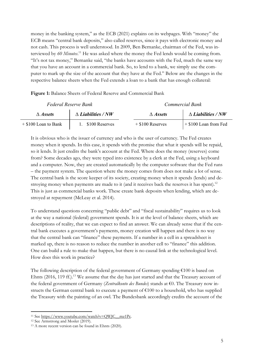money in the banking system," as the ECB (2021) explains on its webpages. With "money" the ECB means "central bank deposits," also called reserves, since it pays with electronic money and not cash. This process is well understood. In 2009, Ben Bernanke, chairman of the Fed, was interviewed by *60 Minutes*. <sup>11</sup> He was asked where the money the Fed lends would be coming from. "It's not tax money," Bernanke said, "the banks have accounts with the Fed, much the same way that you have an account in a commercial bank. So, to lend to a bank, we simply use the computer to mark up the size of the account that they have at the Fed." Below are the changes in the respective balance sheets when the Fed extends a loan to a bank that has enough collateral:

|  |  | Figure 1: Balance Sheets of Federal Reserve and Commercial Bank |  |  |  |
|--|--|-----------------------------------------------------------------|--|--|--|
|  |  |                                                                 |  |  |  |

|                        | Federal Reserve Bank      | Commercial Bank    |                           |  |  |
|------------------------|---------------------------|--------------------|---------------------------|--|--|
| $\triangle$ Assets     | $\Delta$ Liabilities / NW | $\triangle$ Assets | $\Delta$ Liabilities / NW |  |  |
| $+$ \$100 Loan to Bank | 1. \$100 Reserves         | $+$ \$100 Reserves | $+$ \$100 Loan from Fed   |  |  |

It is obvious who is the issuer of currency and who is the user of currency. The Fed creates money when it spends. In this case, it spends with the promise that what it spends will be repaid, so it lends. It just credits the bank's account at the Fed. Where does the money (reserves) come from? Some decades ago, they were typed into existence by a clerk at the Fed, using a keyboard and a computer. Now, they are created automatically by the computer software that the Fed runs – the payment system. The question where the money comes from does not make a lot of sense. The central bank is the score keeper of its society, creating money when it spends (lends) and destroying money when payments are made to it (and it receives back the reserves it has spent).<sup>12</sup> This is just as commercial banks work. These create bank deposits when lending, which are destroyed at repayment (McLeay et al. 2014).

To understand questions concerning "public debt" and "fiscal sustainability" requires us to look at the way a national (federal) government spends. It is at the level of balance sheets, which are descriptions of reality, that we can expect to find an answer. We can already sense that if the central bank executes a government's payments, money creation will happen and there is no way that the central bank can "finance" these payments. If a number in a cell in a spreadsheet is marked up, there is no reason to reduce the number in another cell to "finance" this addition. One can build a rule to make that happen, but there is no causal link at the technological level. How does this work in practice?

The following description of the federal government of Germany spending  $\epsilon$ 100 is based on Ehnts (2016, 119 ff.).<sup>13</sup> We assume that the day has just started and that the Treasury account of the federal government of Germany (*Zentralkonto des Bundes*) stands at €0. The Treasury now instructs the German central bank to execute a payment of €100 to a household, who has supplied the Treasury with the painting of an owl. The Bundesbank accordingly credits the account of the

<sup>&</sup>lt;sup>11</sup> See https://www.youtube.com/watch?v=QWJC\_\_mz1Pc.

<sup>12</sup> See Armstrong and Mosler (2019).

<sup>13</sup> A more recent version can be found in Ehnts (2020).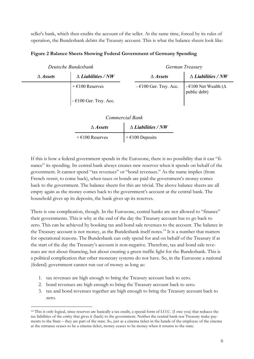seller's bank, which then credits the account of the seller. At the same time, forced by its rules of operation, the Bundesbank debits the Treasury account. This is what the balance sheets look like:

|  |  | Figure 2 Balance Sheets Showing Federal Government of Germany Spending |  |
|--|--|------------------------------------------------------------------------|--|
|  |  |                                                                        |  |

| Deutsche Bundesbank |                           | German Treasury           |                                                        |  |  |
|---------------------|---------------------------|---------------------------|--------------------------------------------------------|--|--|
| $\triangle$ Assets  | $\Delta$ Liabilities / NW | $\triangle$ Assets        | $\Delta$ <i>Liabilities / NW</i>                       |  |  |
|                     | $+ \epsilon$ 100 Reserves | $-$ €100 Ger. Trsy. Acc.  | - $\epsilon$ 100 Net Wealth ( $\Delta$<br>public debt) |  |  |
|                     | $-$ €100 Ger. Trsy. Acc.  |                           |                                                        |  |  |
|                     |                           | <b>Commercial Bank</b>    |                                                        |  |  |
|                     | $\triangle$ Assets        | $\Delta$ Liabilities / NW |                                                        |  |  |
|                     | $+$ €100 Reserves         | $+ \epsilon$ 100 Deposits |                                                        |  |  |

If this is how a federal government spends in the Eurozone, there is no possibility that it can "finance" its spending. Its central bank always creates new reserves when it spends on behalf of the government. It cannot spend "tax revenues" or "bond revenues." As the name implies (from French *revenir*, to come back), when taxes or bonds are paid the government's money comes back to the government. The balance sheets for this are trivial. The above balance sheets are all empty again as the money comes back to the government's account at the central bank. The household gives up its deposits, the bank gives up its reserves.

There is one complication, though. In the Eurozone, central banks are not allowed to "finance" their governments. This is why at the end of the day the Treasury account has to go back to zero. This can be achieved by booking tax and bond sale revenues to the account. The balance in the Treasury account is not money, as the Bundesbank itself notes.<sup>14</sup> It is a number that matters for operational reasons. The Bundesbank can only spend for and on behalf of the Treasury if at the start of the day the Treasury's account is non-negative. Therefore, tax and bond sale revenues are not about financing, but about creating a green traffic light for the Bundesbank. This is a political complication that other monetary systems do not have. So, in the Eurozone a national (federal) government cannot run out of money as long as:

- 1. tax revenues are high enough to bring the Treasury account back to zero.
- 2. bond revenues are high enough to bring the Treasury account back to zero.
- 3. tax and bond revenues together are high enough to bring the Treasury account back to zero.

<sup>14</sup> This is only logical, since reserves are basically a tax credit, a special form of I.O.U. (I owe you) that reduces the tax liabilities of the entity that gives it (back) to the government. Neither the central bank nor Treasury make payments to the State – they are part of the state. So, just as a cinema ticket in the hands of the employee of the cinema at the entrance ceases to be a cinema ticket, money ceases to be money when it returns to the state.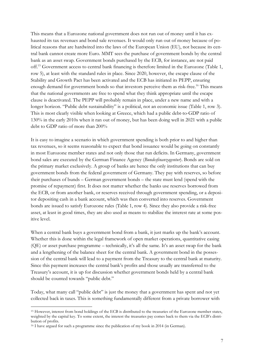This means that a Eurozone national government does not run out of money until it has exhausted its tax revenues and bond sale revenues. It would only run out of money because of political reasons that are hardwired into the laws of the European Union (EU), not because its central bank cannot create more Euro. MMT sees the purchase of government bonds by the central bank as an asset swap. Government bonds purchased by the ECB, for instance, are not paid off.15 Government access to central bank financing is therefore limited in the Eurozone (Table 1, row 5), at least with the standard rules in place. Since 2020, however, the escape clause of the Stability and Growth Pact has been activated and the ECB has initiated its PEPP, ensuring enough demand for government bonds so that investors perceive them as risk-free.<sup>16</sup> This means that the national governments are free to spend what they think appropriate until the escape clause is deactivated. The PEPP will probably remain in place, under a new name and with a longer horizon. "Public debt sustainability" is a political, not an economic issue (Table 1, row 3). This is most clearly visible when looking at Greece, which had a public debt-to-GDP ratio of 130% in the early 2010s when it ran out of money, but has been doing well in 2021 with a public debt to GDP ratio of more than 200%

It is easy to imagine a scenario in which government spending is both prior to and higher than tax revenues, so it seems reasonable to expect that bond issuance would be going on constantly in most Eurozone member states and not only those that run deficits. In Germany, government bond sales are executed by the German Finance Agency (*Bundesfinanzagentur*). Bonds are sold on the primary market exclusively. A group of banks are hence the only institutions that can buy government bonds from the federal government of Germany. They pay with reserves, so before their purchases of bunds – German government bonds – the state must lend (spend with the promise of repayment) first. It does not matter whether the banks use reserves borrowed from the ECB, or from another bank, or reserves received through government spending, or a depositor depositing cash in a bank account, which was then converted into reserves. Government bonds are issued to satisfy Eurozone rules (Table 1, row 4). Since they also provide a risk-free asset, at least in good times, they are also used as means to stabilize the interest rate at some positive level.

When a central bank buys a government bond from a bank, it just marks up the bank's account. Whether this is done within the legal framework of open market operations, quantitative easing (QE) or asset purchase programme – technically, it's all the same. It's an asset swap for the bank and a lengthening of the balance sheet for the central bank. A government bond in the possession of the central bank will lead to a payment from the Treasury to the central bank at maturity. Since this payment increases the central bank's profits and those usually are transferred to the Treasury's account, it is up for discussion whether government bonds held by a central bank should be counted towards "public debt."

Today, what many call "public debt" is just the money that a government has spent and not yet collected back in taxes. This is something fundamentally different from a private borrower with

<sup>15</sup> However, interest from bond holdings of the ECB is distributed to the treasuries of the Eurozone member states, weighted by the capital key. To some extent, the interest the treasuries pay comes back to them via the ECB's distribution of profits.

<sup>&</sup>lt;sup>16</sup> I have argued for such a programme since the publication of my book in 2014 (in German).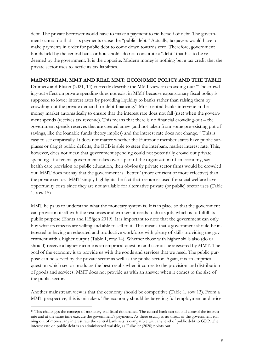debt. The private borrower would have to make a payment to rid herself of debt. The government cannot do that – its payments cause the "public debt." Actually, taxpayers would have to make payments in order for public debt to come down towards zero. Therefore, government bonds held by the central bank or households do not constitute a "debt" that has to be redeemed by the government. It is the opposite. Modern money is nothing but a tax credit that the private sector uses to settle its tax liabilities.

#### **MAINSTREAM, MMT AND REAL MMT: ECONOMIC POLICY AND THE TABLE**

Drumetz and Pfister (2021, 14) correctly describe the MMT view on crowding out: "The crowding-out effect on private spending does not exist in MMT because expansionary fiscal policy is supposed to lower interest rates by providing liquidity to banks rather than raising them by crowding-out the private demand for debt financing." Most central banks intervene in the money market automatically to ensure that the interest rate does not fall (rise) when the government spends (receives tax revenue). This means that there is no financial crowding-out – the government spends reserves that are created anew (and not taken from some pre-existing pot of savings, like the loanable funds theory implies) and the interest rate does not change.<sup>17</sup> This is easy to see empirically. It does not matter whether the Eurozone member states have public surpluses or (large) public deficits, the ECB is able to steer the interbank market interest rate. This, however, does not mean that government spending could not potentially crowd out private spending. If a federal government takes over a part of the organization of an economy, say health care provision or public education, then obviously private sector firms would be crowded out. MMT does not say that the government is "better" (more efficient or more effective) than the private sector. MMT simply highlights the fact that resources used for social welfare have opportunity costs since they are not available for alternative private (or public) sector uses (Table 1, row 15).

MMT helps us to understand what the monetary system is. It is in place so that the government can provision itself with the resources and workers it needs to do its job, which is to fulfill its public purpose (Ehnts and Höfgen 2019). It is important to note that the government can only buy what its citizens are willing and able to sell to it. This means that a government should be interested in having an educated and productive workforce with plenty of skills providing the government with a higher output (Table 1, row 14). Whether those with higher skills also (do or should) receive a higher income is an empirical question and cannot be answered by MMT. The goal of the economy is to provide us with the goods and services that we need. The public purpose can be served by the private sector as well as the public sector. Again, it is an empirical question which sector produces the best results when it comes to the provision and distribution of goods and services. MMT does not provide us with an answer when it comes to the size of the public sector.

Another mainstream view is that the economy should be competitive (Table 1, row 13). From a MMT perspective, this is mistaken. The economy should be targeting full employment and price

<sup>&</sup>lt;sup>17</sup> This challenges the concept of monetary and fiscal dominance. The central bank can set and control the interest rate and at the same time execute the government's payments. As there usually is no threat of the government running out of money, any interest rate the central bank sets is compatible with any level of public debt to GDP. The interest rate on public debt is an administered variable, as Fullwiler (2020) points out.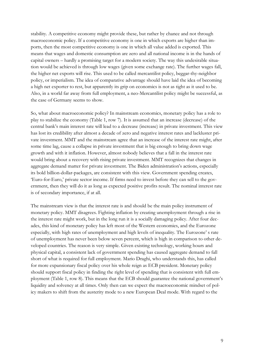stability. A competitive economy might provide these, but rather by chance and not through macroeconomic policy. If a competitive economy is one in which exports are higher than imports, then the most competitive economy is one in which all value added is exported. This means that wages and domestic consumption are zero and all national income is in the hands of capital owners – hardly a promising target for a modern society. The way this undesirable situation would be achieved is through low wages (given some exchange rate). The further wages fall, the higher net exports will rise. This used to be called mercantilist policy, beggar-thy-neighbor policy, or imperialism. The idea of comparative advantage should have laid the idea of becoming a high net exporter to rest, but apparently its grip on economics is not as tight as it used to be. Also, in a world far away from full employment, a neo-Mercantilist policy might be successful, as the case of Germany seems to show.

So, what about macroeconomic policy? In mainstream economics, monetary policy has a role to play to stabilize the economy (Table 1, row 7). It is assumed that an increase (decrease) of the central bank's main interest rate will lead to a decrease (increase) in private investment. This view has lost its credibility after almost a decade of zero and negative interest rates and lackluster private investment. MMT and the mainstream agree that an increase of the interest rate might, after some time lag, cause a collapse in private investment that is big enough to bring down wage growth and with it inflation. However, almost nobody believes that a fall in the interest rate would bring about a recovery with rising private investment. MMT recognizes that changes in aggregate demand matter for private investment. The Biden administration's actions, especially its bold billion-dollar-packages, are consistent with this view. Government spending creates, 'Euro-for-Euro,' private sector income. If firms need to invest before they can sell to the government, then they will do it as long as expected positive profits result. The nominal interest rate is of secondary importance, if at all.

The mainstream view is that the interest rate is and should be the main policy instrument of monetary policy. MMT disagrees. Fighting inflation by creating unemployment through a rise in the interest rate might work, but in the long run it is a socially damaging policy. After four decades, this kind of monetary policy has left most of the Western economies, and the Eurozone especially, with high rates of unemployment and high levels of inequality. The Eurozone' s rate of unemployment has never been below seven percent, which is high in comparison to other developed countries. The reason is very simple. Given existing technology, working hours and physical capital, a consistent lack of government spending has caused aggregate demand to fall short of what is required for full employment. Mario Draghi, who understands this, has called for more expansionary fiscal policy over his whole reign as ECB president. Monetary policy should support fiscal policy in finding the right level of spending that is consistent with full employment (Table 1, row 8). This means that the ECB should guarantee the national government's liquidity and solvency at all times. Only then can we expect the macroeconomic mindset of policy makers to shift from the austerity mode to a new European Deal mode. With regard to the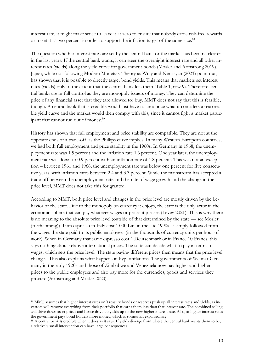interest rate, it might make sense to leave it at zero to ensure that nobody earns risk-free rewards or to set it at two percent in order to support the inflation target of the same size.<sup>18</sup>

The question whether interest rates are set by the central bank or the market has become clearer in the last years. If the central bank wants, it can steer the overnight interest rate and all other interest rates (yields) along the yield curve for government bonds (Mosler and Armstrong 2019). Japan, while not following Modern Monetary Theory as Wray and Nersisyan (2021) point out, has shown that it is possible to directly target bond yields. This means that markets set interest rates (yields) only to the extent that the central bank lets them (Table 1, row 9). Therefore, central banks are in full control as they are monopoly issuers of money. They can determine the price of any financial asset that they (are allowed to) buy. MMT does not say that this is feasible, though. A central bank that is credible would just have to announce what it considers a reasonable yield curve and the market would then comply with this, since it cannot fight a market participant that cannot run out of money.19

History has shown that full employment and price stability are compatible. They are not at the opposite ends of a trade-off, as the Phillips curve implies. In many Western European countries, we had both full employment and price stability in the 1960s. In Germany in 1968, the unemployment rate was 1.5 percent and the inflation rate 1.6 percent. One year later, the unemployment rate was down to 0.9 percent with an inflation rate of 1.8 percent. This was not an exception – between 1961 and 1966, the unemployment rate was below one percent for five consecutive years, with inflation rates between 2.4 and 3.3 percent. While the mainstream has accepted a trade-off between the unemployment rate and the rate of wage growth and the change in the price level, MMT does not take this for granted.

According to MMT, both price level and changes in the price level are mostly driven by the behavior of the state. Due to the monopoly on currency it enjoys, the state is the only actor in the economic sphere that can pay whatever wages or prices it pleases (Levey 2021). This is why there is no meaning to the absolute price level (outside of that determined by the state — see Mosler (forthcoming)). If an espresso in Italy cost 1,000 Lira in the late 1990s, it simply followed from the wages the state paid to its public employees (in the thousands of currency units per hour of work). When in Germany that same espresso cost 1 Deutschmark or in France 10 Francs, this says nothing about relative international prices. The state can decide what to pay in terms of wages, which sets the price level. The state paying different prices then means that the price level changes. This also explains what happens in hyperinflations. The governments of Weimar Germany in the early 1920s and those of Zimbabwe and Venezuela now pay higher and higher prices to the public employees and also pay more for the currencies, goods and services they procure (Armstrong and Mosler 2020).

<sup>18</sup> MMT assumes that higher interest rates on Treasury bonds or reserves push up all interest rates and yields, as investors will remove everything from their portfolio that earns them less than that interest rate. The combined selling will drive down asset prices and hence drive up yields up to the new higher interest rate. Also, at higher interest rates the government pays bond holders more money, which is somewhat expansionary.

<sup>&</sup>lt;sup>19</sup> A central bank is credible when it does as it says. If yields diverge from where the central bank wants them to be, a relatively small intervention can have large consequences.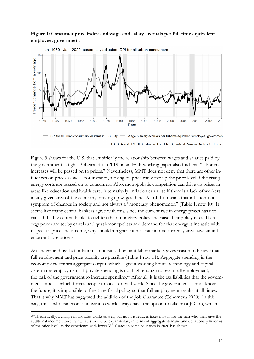#### **Figure 1: Consumer price index and wage and salary accruals per full-time equivalent employee: government**



Jan. 1950 - Jan. 2020, seasonally adjusted. CPI for all urban consumers

Figure 3 shows for the U.S. that empirically the relationship between wages and salaries paid by the government is tight. Bobeica et al. (2019) in an ECB working paper also find that "labor cost increases will be passed on to prices." Nevertheless, MMT does not deny that there are other influences on prices as well. For instance, a rising oil price can drive up the price level if the rising energy costs are passed on to consumers. Also, monopolistic competition can drive up prices in areas like education and health care. Alternatively, inflation can arise if there is a lack of workers in any given area of the economy, driving up wages there. All of this means that inflation is a symptom of changes in society and not always a "monetary phenomenon" (Table 1, row 10). It seems like many central bankers agree with this, since the current rise in energy prices has not caused the big central banks to tighten their monetary policy and raise their policy rates. If energy prices are set by cartels and quasi-monopolists and demand for that energy is inelastic with respect to price and income, why should a higher interest rate in one currency area have an influence on those prices?

An understanding that inflation is not caused by tight labor markets gives reason to believe that full employment and price stability are possible (Table 1 row 11). Aggregate spending in the economy determines aggregate output, which – given working hours, technology and capital – determines employment. If private spending is not high enough to reach full employment, it is the task of the government to increase spending.<sup>20</sup> After all, it is the tax liabilities that the government imposes which forces people to look for paid work. Since the government cannot know the future, it is impossible to fine tune fiscal policy so that full employment results at all times. That is why MMT has suggested the addition of the Job Guarantee (Tcherneva 2020). In this way, those who can work and want to work always have the option to take on a JG job, which

U.S. BEA and U.S. BLS, retrieved from FRED, Federal Reserve Bank of St. Louis

<sup>&</sup>lt;sup>20</sup> Theoretically, a change in tax rates works as well, but not if it reduces taxes mostly for the rich who then save the additional income. Lower VAT rates would be expansionary in terms of aggregate demand and deflationary in terms of the price level, as the experience with lower VAT rates in some countries in 2020 has shown.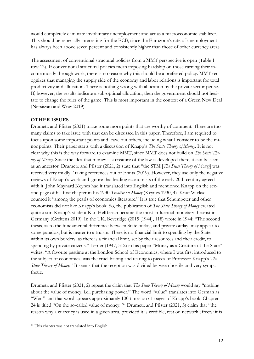would completely eliminate involuntary unemployment and act as a macroeconomic stabilizer. This should be especially interesting for the ECB, since the Eurozone's rate of unemployment has always been above seven percent and consistently higher than those of other currency areas.

The assessment of conventional structural policies from a MMT perspective is open (Table 1 row 12). If conventional structural policies mean imposing hardship on those earning their income mostly through work, there is no reason why this should be a preferred policy. MMT recognizes that managing the supply side of the economy and labor relations is important for total productivity and allocation. There is nothing wrong with allocation by the private sector per se. If, however, the results indicate a sub-optimal allocation, then the government should not hesitate to change the rules of the game. This is most important in the context of a Green New Deal (Nersisyan and Wray 2019).

#### **OTHER ISSUES**

Drumetz and Pfister (2021) make some more points that are worthy of comment. There are too many claims to take issue with that can be discussed in this paper. Therefore, I am required to focus upon some important points and leave out others, including what I consider to be the minor points. Their paper starts with a discussion of Knapp's *The State Theory of Money*. It is not clear why this is the way forward to examine MMT, since MMT does not build on *The State Theory of Money*. Since the idea that money is a creature of the law is developed there, it can be seen as an ancestor. Drumetz and Pfister (2021, 2) state that "the STM [*The State Theory of Money*] was received very mildly," taking references out of Ehnts (2019). However, they use only the negative reviews of Knapp's work and ignore that leading economists of the early 20th century agreed with it. John Maynard Keynes had it translated into English and mentioned Knapp on the second page of his first chapter in his 1930 *Treatise on Money* (Keynes 1930, 4). Knut Wicksell counted it "among the pearls of economics literature." It is true that Schumpeter and other economists did not like Knapp's book. So, the publication of *The State Theory of Money* created quite a stir. Knapp's student Karl Helfferich became the most influential monetary theorist in Germany (Greitens 2019). In the UK, Beveridge (2015 [1944], 118) wrote in 1944: "The second thesis, as to the fundamental difference between State outlay, and private outlay, may appear to some paradox, but is nearer to a truism. There is no financial limit to spending by the State within its own borders, as there is a financial limit, set by their resources and their credit, to spending by private citizens." Lerner (1947, 312) in his paper "Money as a Creature of the State" writes: "A favorite pastime at the London School of Economics, where I was first introduced to the subject of economics, was the cruel baiting and tearing to pieces of Professor Knapp's *The State Theory of Money.*" It seems that the reception was divided between hostile and very sympathetic.

Drumetz and Pfister (2021, 2) repeat the claim that *The State Theory of Money* would say "nothing about the value of money, i.e., purchasing power." The word "value" translates into German as "Wert" and that word appears approximately 100 times on 61 pages of Knapp's book. Chapter 24 is titled "On the so-called value of money."21 Drumetz and Pfister (2021, 3) claim that "the reason why a currency is used in a given area, provided it is credible, rest on network effects: it is

<sup>21</sup> This chapter was not translated into English.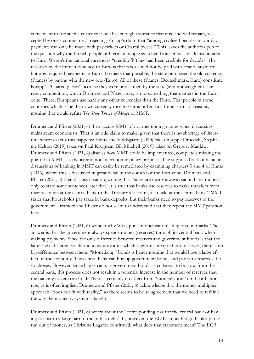convenient to use such a currency if one has enough assurance that it is, and will remain, accepted by one's contractors," rejecting Knapp's claim that "among civilized peoples in our day, payments can only be made with pay-tickets or Chartal pieces." This leaves the authors open to the question why the French people or German people switched from Francs or Deutschmarks to Euro. Weren't the national currencies "credible"? They had been credible for decades. The reason why the French switched to Euro is that taxes could not be paid with Francs anymore, but now required payments in Euro. To make that possible, the state purchased the old currency (Francs) by paying with the new one (Euro). All of these (Francs, Deutschmark, Euro) constitute Knapp's "Chartal pieces" because they were proclaimed by the state (and not weighted). Currency competition, which Drumetz and Pfister miss, is not something that matters in the Eurozone. There, Europeans use hardly any other currencies than the Euro. That people in some countries which issue their own currency turn to Euros or Dollars, for all sorts of reasons, is nothing that would refute *The State Theory of Money* or MMT.

Drumetz and Pfister (2021, 4) then accuse MMT of not mentioning names when discussing mainstream economists. That is an odd claim to make, given that there is no shortage of literature where exactly this happens: Ehnts and Voldsgaard (2020) take on Jeppe Druedahl, Stephanie Kelton (2019) takes on Paul Krugman, Bill Mitchell (2019) takes on Gregory Mankiw. Drumetz and Pfister (2021, 4) discuss how MMT could be implemented, completely missing the point that MMT is a theory and not an economic policy proposal. The supposed lack of detail in discussions of banking in MMT can easily be remediated by examining chapters 3 and 4 of Ehnts (2016), where this is discussed in great detail in the context of the Eurozone. Drumetz and Pfister (2021, 5) then discuss taxation, writing that "taxes are nearly always paid in bank money" only to state some sentences later that "it is true that banks use reserves to make transfers from their accounts at the central bank to the Treasury's account, also held at the central bank." MMT states that households pay taxes in bank deposits, but their banks need to pay reserves to the government. Drumetz and Pfister do not seem to understand that they repeat the MMT position here.

Drumetz and Pfister (2021, 6) wonder why Wray puts "monetization" in quotation marks. The answer is that the government always spends money (reserves) through its central bank when making payments. Since the only difference between reserves and government bonds is that the latter have different yields and a maturity after which they are converted into reserves, there is no big difference between them. "Monetizing" bonds is hence nothing that would have a large effect on the economy. The central bank can buy up government bonds and pay with reserves if it so choses. However, since banks can use government bonds as collateral to borrow from the central bank, this process does not result in a potential increase in the number of reserves that the banking system can hold. There is certainly no effect from "monetization" on the inflation rate, as is often implied. Drumetz and Pfister (2021, 6) acknowledge that the money multiplier approach "does not fit with reality," so there seems to be an agreement that we need to rethink the way the monetary system is taught.

Drumetz and Pfister (2021, 8) worry about the "corresponding risk for the central bank of having to absorb a large part of the public debt." If, however, the ECB can neither go bankrupt nor run out of money, as Christine Lagarde confirmed, what does that statement mean? The ECB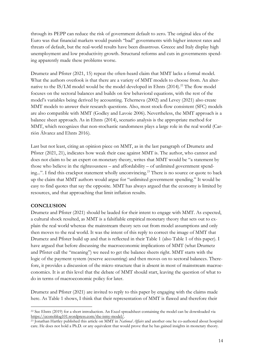through its PEPP can reduce the risk of government default to zero. The original idea of the Euro was that financial markets would punish "bad" governments with higher interest rates and threats of default, but the real-world results have been disastrous. Greece and Italy display high unemployment and low productivity growth. Structural reforms and cuts in governments spending apparently made these problems worse.

Drumetz and Pfister (2021, 15) repeat the often-heard claim that MMT lacks a formal model. What the authors overlook is that there are a variety of MMT models to choose from. An alternative to the IS/LM model would be the model developed in Ehnts (2014).<sup>22</sup> The flow model focuses on the sectoral balances and builds on few behavioral equations, with the rest of the model's variables being derived by accounting. Tcherneva (2002) and Levey (2021) also create MMT models to answer their research questions. Also, most stock-flow consistent (SFC) models are also compatible with MMT (Godley and Lavoie 2006). Nevertheless, the MMT approach is a balance sheet approach. As in Ehnts (2014), scenario analysis is the appropriate method for MMT, which recognizes that non-stochastic randomness plays a large role in the real world (Carrión Álvarez and Ehnts 2016).

Last but not least, citing an opinion piece on MMT, as in the last paragraph of Drumetz and Pfister (2021, 21), indicates how weak their case against MMT is. The author, who cannot and does not claim to be an expert on monetary theory, writes that MMT would be "a statement by those who believe in the righteousness – and affordability – of unlimited government spending...". I find this crackpot statement wholly unconvincing.<sup>23</sup> There is no source or quote to back up the claim that MMT authors would argue for "unlimited government spending." It would be easy to find quotes that say the opposite. MMT has always argued that the economy is limited by resources, and that approaching that limit inflation results.

#### **CONCLUSION**

Drumetz and Pfister (2021) should be lauded for their intent to engage with MMT. As expected, a cultural shock resulted, as MMT is a falsifiable empirical monetary theory that sets out to explain the real world whereas the mainstream theory sets out from model assumptions and only then moves to the real world. It was the intent of this reply to correct the image of MMT that Drumetz and Pfister build up and that is reflected in their Table 1 (also Table 1 of this paper). I have argued that before discussing the macroeconomic implications of MMT (what Drumetz and Pfister call the "meaning") we need to get the balance sheets right. MMT starts with the logic of the payment system (reserve accounting) and then moves on to sectoral balances. Therefore, it provides a discussion of the micro structure that is absent in most of mainstream macroeconomics. It is at this level that the debate of MMT should start, leaving the question of what to do in terms of macroeconomic policy for later.

Drumetz and Pfister (2021) are invited to reply to this paper by engaging with the claims made here. As Table 1 shows, I think that their representation of MMT is flawed and therefore their

<sup>22</sup> See Ehnts (2019) for a short introduction. An Excel spreadsheet containing the model can be downloaded via https://econoblog101.wordpress.com/the-ismy-model/.

<sup>23</sup> Jonathan Hartley published this article on MMT in *National Affairs* and another one he co-authored about hospital care. He does not hold a Ph.D. or any equivalent that would prove that he has gained insights in monetary theory.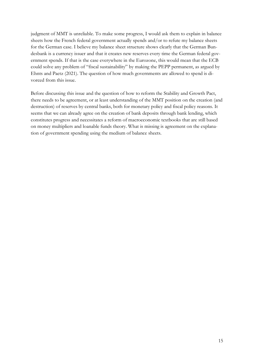judgment of MMT is unreliable. To make some progress, I would ask them to explain in balance sheets how the French federal government actually spends and/or to refute my balance sheets for the German case. I believe my balance sheet structure shows clearly that the German Bundesbank is a currency issuer and that it creates new reserves every time the German federal government spends. If that is the case everywhere in the Eurozone, this would mean that the ECB could solve any problem of "fiscal sustainability" by making the PEPP permanent, as argued by Ehnts and Paetz (2021). The question of how much governments are allowed to spend is divorced from this issue.

Before discussing this issue and the question of how to reform the Stability and Growth Pact, there needs to be agreement, or at least understanding of the MMT position on the creation (and destruction) of reserves by central banks, both for monetary policy and fiscal policy reasons. It seems that we can already agree on the creation of bank deposits through bank lending, which constitutes progress and necessitates a reform of macroeconomic textbooks that are still based on money multipliers and loanable funds theory. What is missing is agreement on the explanation of government spending using the medium of balance sheets.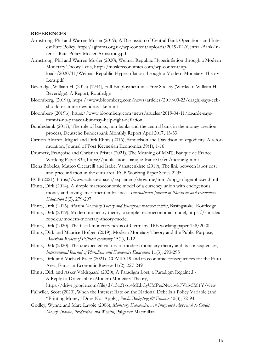#### **REFERENCES**

- Armstrong, Phil and Warren Mosler (2019), A Discussion of Central Bank Operations and Interest Rate Policy, https://gimms.org.uk/wp-content/uploads/2019/02/Central-Bank-Interest-Rate-Policy-Mosler-Armstrong.pdf
- Armstrong, Phil and Warren Mosler (2020), Weimar Republic Hyperinflation through a Modern Monetary Theory Lens, http://moslereconomics.com/wp-content/uploads/2020/11/Weimar-Republic-Hyperinflation-through-a-Modern-Monetary-Theory-

- Beveridge, William H. (2015) [1944], Full Employment in a Free Society (Works of William H. Beveridge): A Report, Routledge
- Bloomberg, (2019a), https://www.bloomberg.com/news/articles/2019-09-23/draghi-says-ecbshould-examine-new-ideas-like-mmt
- Bloomberg (2019b), https://www.bloomberg.com/news/articles/2019-04-11/lagarde-saysmmt-is-no-panacea-but-may-help-fight-deflation
- Bundesbank (2017), The role of banks, non-banks and the central bank in the money creation process, Deutsche Bundesbank Monthly Report April 2017, 13-33
- Carrión Álvarez, Miguel and Dirk Ehnts (2016), Samuelson and Davidson on ergodicity: A reformulation, Journal of Post Keynesian Economics 39(1), 1-16
- Drumetz, Françoise and Christian Pfister (2021), The Meaning of MMT, Banque de France Working Paper 833, https://publications.banque-france.fr/en/meaning-mmt
- Elena Bobeica, Matteo Ciccarelli and Isabel Vansteenkiste (2019), The link between labor cost and price inflation in the euro area, ECB Working Paper Series 2235
- ECB (2021), https://www.ecb.europa.eu/explainers/show-me/html/app\_infographic.en.html
- Ehnts, Dirk (2014), A simple macroeconomic model of a currency union with endogenous money and saving-investment imbalances, *International Journal of Pluralism and Economics Education* 5(3), 279-297
- Ehnts, Dirk (2016), *Modern Monetary Theory and European macroeconomics*, Basingstoke: Routledge
- Ehnts, Dirk (2019), Modern monetary theory: a simple macroeconomic model, https://socialeurope.eu/modern-monetary-theory-model
- Ehnts, Dirk (2020), The fiscal-monetary nexus of Germany, IPE working paper 138/2020
- Ehnts, Dirk and Maurice Höfgen (2019), Modern Monetary Theory and the Public Purpose, *American Review of Political Economy* 15(1), 1-12
- Ehnts, Dirk (2020), The unexpected victory of modern monetary theory and its consequences, *International Journal of Pluralism and Economics Education* 11(3), 293-295
- Ehnts, Dirk und Michael Paetz (2021), COVID-19 and its economic consequences for the Euro Area, Eurasian Economic Review 11(2), 227-249
- Ehnts, Dirk and Asker Voldsgaard (2020), A Paradigm Lost, a Paradigm Regained A Reply to Druedahl on Modern Monetary Theory,
	- https://drive.google.com/file/d/13a2To14MLbCyUMPexNwciwk7Valv5MTY/view
- Fullwiler, Scott (2020), When the Interest Rate on the National Debt Is a Policy Variable (and "Printing Money" Does Not Apply), *Public Budgeting & Finance* 40(3), 72-94
- Godley, Wynne and Marc Lavoie (2006), *Monetary Economics: An Integrated Approach to Credit, Money, Income, Production and Wealth*, Palgrave Macmillan

Lens.pdf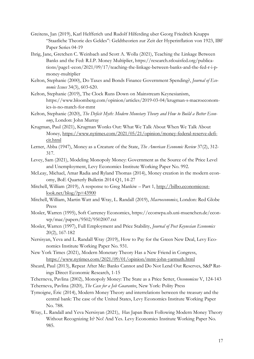- Greitens, Jan (2019), Karl Helfferich und Rudolf Hilferding uber Georg Friedrich Knapps "Staatliche Theorie des Geldes": Geldtheorien zur Zeit der Hyperinflation von 1923, IBF Paper Series 04-19
- Ihrig, Jane, Gretchen C. Weinbach and Scott A. Wolla (2021), Teaching the Linkage Between Banks and the Fed: R.I.P. Money Multiplier, https://research.stlouisfed.org/publications/page1-econ/2021/09/17/teaching-the-linkage-between-banks-and-the-fed-r-i-pmoney-multiplier
- Kelton, Stephanie (2000), Do Taxes and Bonds Finance Government Spending?, *Journal of Economic Issues* 34(3), 603-620.
- Kelton, Stephanie (2019), The Clock Runs Down on Mainstream Keynesianism, https://www.bloomberg.com/opinion/articles/2019-03-04/krugman-s-macroeconomics-is-no-match-for-mmt
- Kelton, Stephanie (2020), *The Deficit Myth: Modern Monetary Theory and How to Build a Better Economy*, London: John Murray
- Krugman, Paul (2021), Krugman Wonks Out: What We Talk About When We Talk About Money, https://www.nytimes.com/2021/05/21/opinion/money-federal-reserve-deficit.html
- Lerner, Abba (1947), Money as a Creature of the State, *The American Economic Review* 37(2), 312- 317.
- Levey, Sam (2021), Modeling Monopoly Money: Government as the Source of the Price Level and Unemployment, Levy Economics Institute Working Paper No. 992.
- McLeay, Michael, Amar Radia and Ryland Thomas (2014), Money creation in the modern economy, BoE Quarterly Bulletin 2014 Q1, 14-27
- Mitchell, William (2019), A response to Greg Mankiw Part 1, http://bilbo.economicoutlook.net/blog/?p=43900
- Mitchell, William, Martin Watt and Wray, L. Randall (2019), *Macroeconomics*, London: Red Globe Press
- Mosler, Warren (1995), Soft Currency Economics, https://econwpa.ub.uni-muenchen.de/econwp/mac/papers/9502/9502007.txt
- Mosler, Warren (1997), Full Employment and Price Stability, *Journal of Post Keynesian Economics* 20(2), 167-182
- Nersisyan, Yeva and L. Randall Wray (2019), How to Pay for the Green New Deal, Levy Economics Institute Working Paper No. 931.
- New York Times (2021), Modern Monetary Theory Has a New Friend in Congress, https://www.nytimes.com/2021/09/01/opinion/mmt-john-yarmuth.html
- Sheard, Paul (2013), Repeat After Me: Banks Cannot and Do Not Lend Out Reserves, S&P Ratings Direct Economic Research, 1-15
- Tcherneva, Pavlina (2002), Monopoly Money: The State as a Price Setter, *Oeconomicus* V, 124-143
- Tcherneva, Pavlina (2020), *The Case for a Job Guarantee*, New York: Polity Press
- Tymoigne, Éric (2014), Modern Money Theory and interrelations between the treasury and the central bank: The case of the United States, Levy Economics Institute Working Paper No. 788.
- Wray, L. Randall and Yeva Nersisyan (2021), Has Japan Been Following Modern Money Theory Without Recognizing It? No! And Yes. Levy Economics Institute Working Paper No. 985.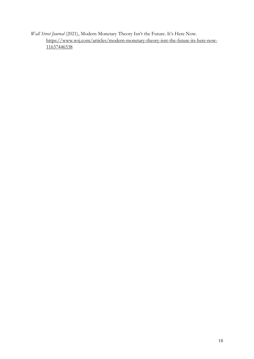*Wall Street Journal* (2021), Modern Monetary Theory Isn't the Future. It's Here Now. https://www.wsj.com/articles/modern-monetary-theory-isnt-the-future-its-here-now-11637446538